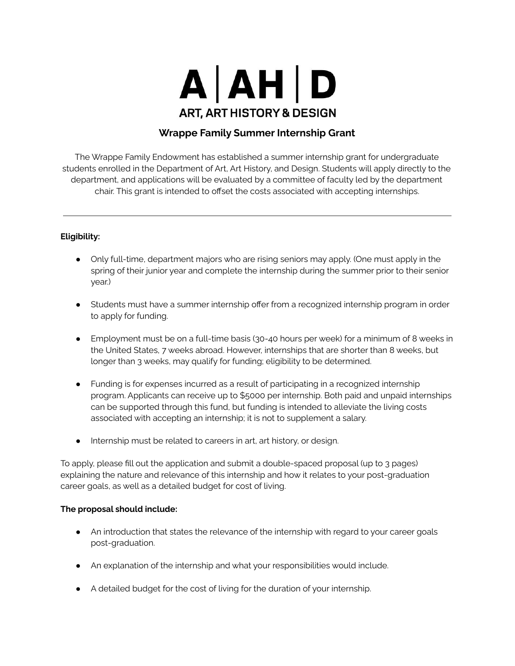

## **Wrappe Family Summer Internship Grant**

The Wrappe Family Endowment has established a summer internship grant for undergraduate students enrolled in the Department of Art, Art History, and Design. Students will apply directly to the department, and applications will be evaluated by a committee of faculty led by the department chair. This grant is intended to offset the costs associated with accepting internships.

## **Eligibility:**

- Only full-time, department majors who are rising seniors may apply. (One must apply in the spring of their junior year and complete the internship during the summer prior to their senior year.)
- Students must have a summer internship offer from a recognized internship program in order to apply for funding.
- Employment must be on a full-time basis (30-40 hours per week) for a minimum of 8 weeks in the United States, 7 weeks abroad. However, internships that are shorter than 8 weeks, but longer than 3 weeks, may qualify for funding; eligibility to be determined.
- Funding is for expenses incurred as a result of participating in a recognized internship program. Applicants can receive up to \$5000 per internship. Both paid and unpaid internships can be supported through this fund, but funding is intended to alleviate the living costs associated with accepting an internship; it is not to supplement a salary.
- Internship must be related to careers in art, art history, or design.

To apply, please fill out the application and submit a double-spaced proposal (up to 3 pages) explaining the nature and relevance of this internship and how it relates to your post-graduation career goals, as well as a detailed budget for cost of living.

#### **The proposal should include:**

- An introduction that states the relevance of the internship with regard to your career goals post-graduation.
- An explanation of the internship and what your responsibilities would include.
- A detailed budget for the cost of living for the duration of your internship.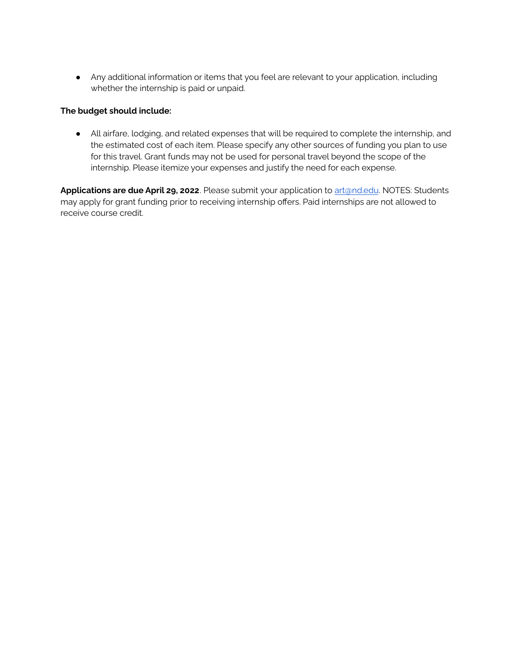● Any additional information or items that you feel are relevant to your application, including whether the internship is paid or unpaid.

### **The budget should include:**

● All airfare, lodging, and related expenses that will be required to complete the internship, and the estimated cost of each item. Please specify any other sources of funding you plan to use for this travel. Grant funds may not be used for personal travel beyond the scope of the internship. Please itemize your expenses and justify the need for each expense.

Applications are due April 29, 2022. Please submit your application to [art@nd.edu](mailto:art@nd.edu). NOTES: Students may apply for grant funding prior to receiving internship offers. Paid internships are not allowed to receive course credit.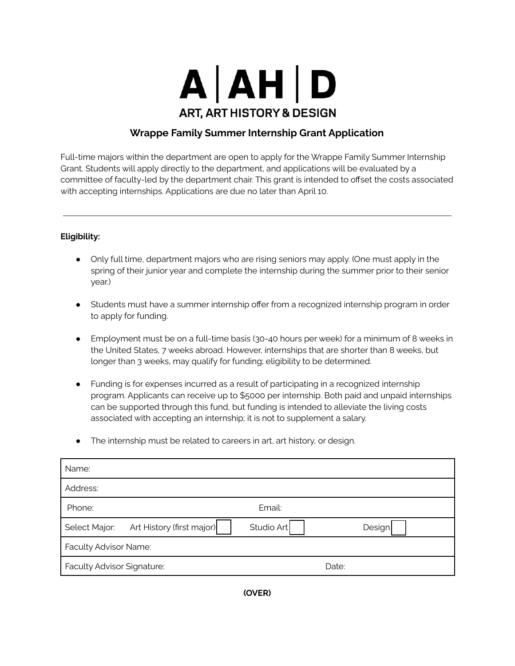

# **Wrappe Family Summer Internship Grant Application**

Full-time majors within the department are open to apply for the Wrappe Family Summer Internship Grant. Students will apply directly to the department, and applications will be evaluated by a committee of faculty-led by the department chair. This grant is intended to offset the costs associated with accepting internships. Applications are due no later than April 10.

## **Eligibility:**

- Only full time, department majors who are rising seniors may apply. (One must apply in the spring of their junior year and complete the internship during the summer prior to their senior year.)
- Students must have a summer internship offer from a recognized internship program in order to apply for funding.
- Employment must be on a full-time basis (30-40 hours per week) for a minimum of 8 weeks in the United States, 7 weeks abroad. However, internships that are shorter than 8 weeks, but longer than 3 weeks, may qualify for funding; eligibility to be determined.
- Funding is for expenses incurred as a result of participating in a recognized internship program. Applicants can receive up to \$5000 per internship. Both paid and unpaid internships can be supported through this fund, but funding is intended to alleviate the living costs associated with accepting an internship; it is not to supplement a salary.
- The internship must be related to careers in art, art history, or design.

| Name:                      |                           |            |        |  |
|----------------------------|---------------------------|------------|--------|--|
| Address:                   |                           |            |        |  |
| Phone:                     |                           | Email:     |        |  |
| Select Major:              | Art History (first major) | Studio Art | Design |  |
| Faculty Advisor Name:      |                           |            |        |  |
| Faculty Advisor Signature: |                           |            | Date:  |  |

**(OVER)**